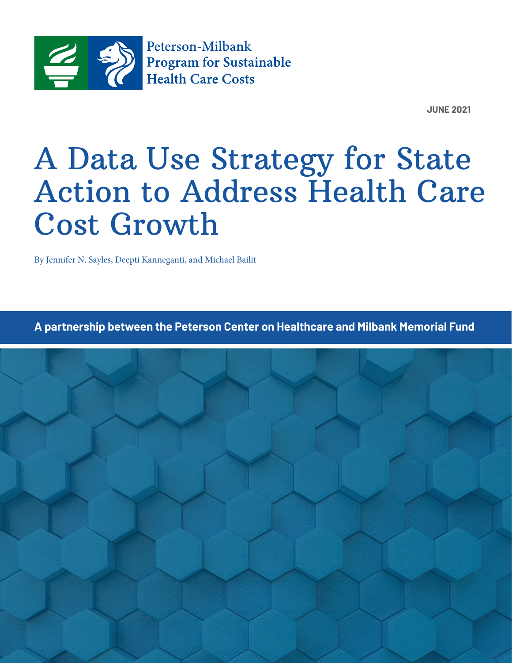

**JUNE 2021** 

# A Data Use Strategy for State Action to Address Health Care Cost Growth

By Jennifer N. Sayles, Deepti Kanneganti, and Michael Bailit

**A partnership between the Peterson Center on Healthcare and Milbank Memorial Fund**

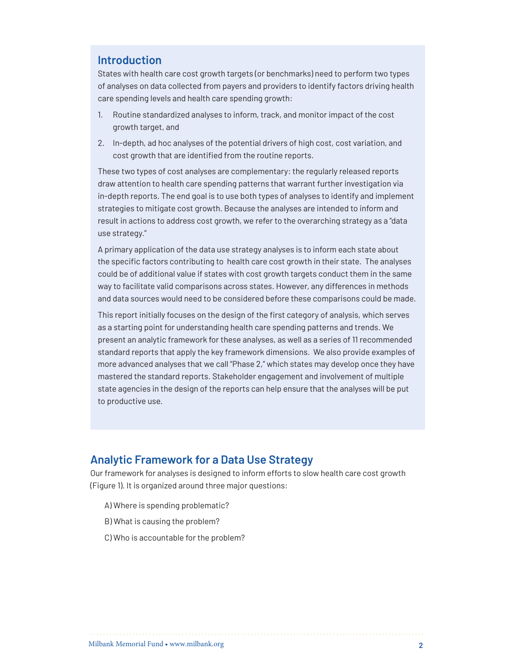## **Introduction**

States with health care cost growth targets (or benchmarks) need to perform two types of analyses on data collected from payers and providers to identify factors driving health care spending levels and health care spending growth:

- 1. Routine standardized analyses to inform, track, and monitor impact of the cost growth target, and
- 2. In-depth, ad hoc analyses of the potential drivers of high cost, cost variation, and cost growth that are identified from the routine reports.

These two types of cost analyses are complementary: the regularly released reports draw attention to health care spending patterns that warrant further investigation via in-depth reports. The end goal is to use both types of analyses to identify and implement strategies to mitigate cost growth. Because the analyses are intended to inform and result in actions to address cost growth, we refer to the overarching strategy as a "data use strategy."

A primary application of the data use strategy analyses is to inform each state about the specific factors contributing to health care cost growth in their state. The analyses could be of additional value if states with cost growth targets conduct them in the same way to facilitate valid comparisons across states. However, any differences in methods and data sources would need to be considered before these comparisons could be made.

This report initially focuses on the design of the first category of analysis, which serves as a starting point for understanding health care spending patterns and trends. We present an analytic framework for these analyses, as well as a series of 11 recommended standard reports that apply the key framework dimensions. We also provide examples of more advanced analyses that we call "Phase 2," which states may develop once they have mastered the standard reports. Stakeholder engagement and involvement of multiple state agencies in the design of the reports can help ensure that the analyses will be put to productive use.

## **Analytic Framework for a Data Use Strategy**

Our framework for analyses is designed to inform efforts to slow health care cost growth (Figure 1). It is organized around three major questions:

- A) Where is spending problematic?
- B) What is causing the problem?
- C) Who is accountable for the problem?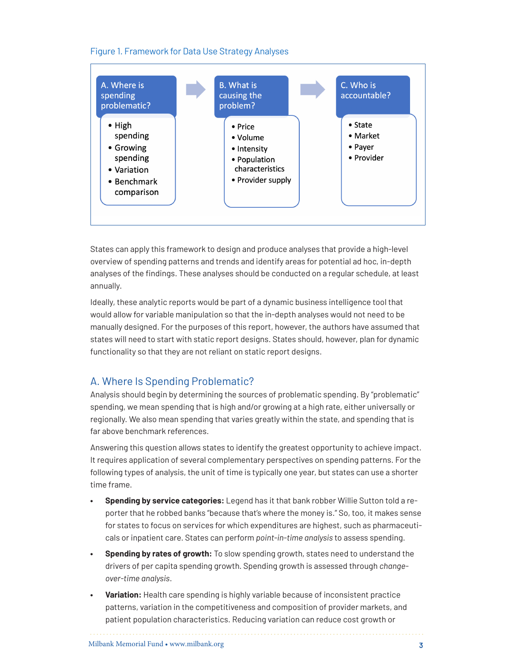

#### Figure 1. Framework for Data Use Strategy Analyses

States can apply this framework to design and produce analyses that provide a high-level overview of spending patterns and trends and identify areas for potential ad hoc, in-depth analyses of the findings. These analyses should be conducted on a regular schedule, at least annually.

Ideally, these analytic reports would be part of a dynamic business intelligence tool that would allow for variable manipulation so that the in-depth analyses would not need to be manually designed. For the purposes of this report, however, the authors have assumed that states will need to start with static report designs. States should, however, plan for dynamic functionality so that they are not reliant on static report designs.

## A. Where Is Spending Problematic?

Analysis should begin by determining the sources of problematic spending. By "problematic" spending, we mean spending that is high and/or growing at a high rate, either universally or regionally. We also mean spending that varies greatly within the state, and spending that is far above benchmark references.

Answering this question allows states to identify the greatest opportunity to achieve impact. It requires application of several complementary perspectives on spending patterns. For the following types of analysis, the unit of time is typically one year, but states can use a shorter time frame.

- **• Spending by service categories:** Legend has it that bank robber Willie Sutton told a reporter that he robbed banks "because that's where the money is." So, too, it makes sense for states to focus on services for which expenditures are highest, such as pharmaceuticals or inpatient care. States can perform *point-in-time analysis* to assess spending.
- **• Spending by rates of growth:** To slow spending growth, states need to understand the drivers of per capita spending growth. Spending growth is assessed through *changeover-time analysis*.
- **• Variation:** Health care spending is highly variable because of inconsistent practice patterns, variation in the competitiveness and composition of provider markets, and patient population characteristics. Reducing variation can reduce cost growth or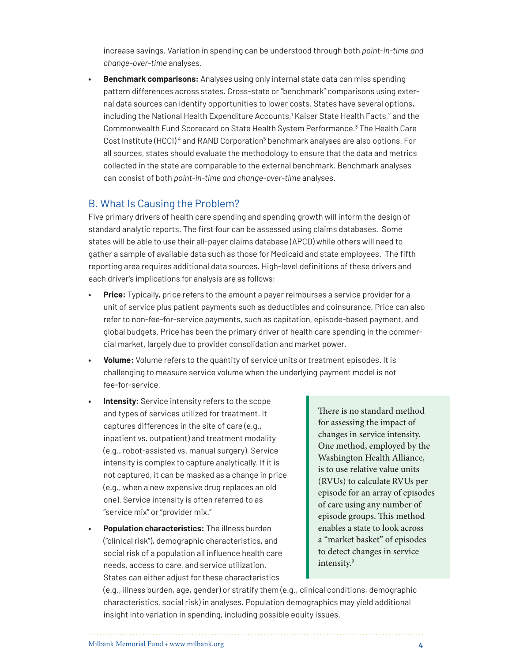increase savings. Variation in spending can be understood through both *point-in-time and change-over-time* analyses.

**• Benchmark comparisons:** Analyses using only internal state data can miss spending pattern differences across states. Cross-state or "benchmark" comparisons using external data sources can identify opportunities to lower costs. States have several options, including the National Health Expenditure Accounts,<sup>1</sup> Kaiser State Health Facts, $^2$  and the Commonwealth Fund Scorecard on State Health System Performance.<sup>[3](#page-19-2)</sup> The Health Care Cost Institute (HCCI)<sup>[4](#page-19-3)</sup> and RAND Corporation<sup>5</sup> benchmark analyses are also options. For all sources, states should evaluate the methodology to ensure that the data and metrics collected in the state are comparable to the external benchmark. Benchmark analyses can consist of both *point-in-time and change-over-time* analyses.

## B. What Is Causing the Problem?

Five primary drivers of health care spending and spending growth will inform the design of standard analytic reports. The first four can be assessed using claims databases. Some states will be able to use their all-payer claims database (APCD) while others will need to gather a sample of available data such as those for Medicaid and state employees. The fifth reporting area requires additional data sources. High-level definitions of these drivers and each driver's implications for analysis are as follows:

- **• Price:** Typically, price refers to the amount a payer reimburses a service provider for a unit of service plus patient payments such as deductibles and coinsurance. Price can also refer to non-fee-for-service payments, such as capitation, episode-based payment, and global budgets. Price has been the primary driver of health care spending in the commercial market, largely due to provider consolidation and market power.
- **• Volume:** Volume refers to the quantity of service units or treatment episodes. It is challenging to measure service volume when the underlying payment model is not fee-for-service.
- **Intensity:** Service intensity refers to the scope and types of services utilized for treatment. It captures differences in the site of care (e.g., inpatient vs. outpatient) and treatment modality (e.g., robot-assisted vs. manual surgery). Service intensity is complex to capture analytically. If it is not captured, it can be masked as a change in price (e.g., when a new expensive drug replaces an old one). Service intensity is often referred to as "service mix" or "provider mix."
- **• Population characteristics:** The illness burden ("clinical risk"), demographic characteristics, and social risk of a population all influence health care needs, access to care, and service utilization. States can either adjust for these characteristics

There is no standard method for assessing the impact of changes in service intensity. One method, employed by the Washington Health Alliance, is to use relative value units (RVUs) to calculate RVUs per episode for an array of episodes of care using any number of episode groups. This method enables a state to look across a "market basket" of episodes to detect changes in service intensity.<sup>[9](#page-19-5)</sup>

(e.g., illness burden, age, gender) or stratify them (e.g., clinical conditions, demographic characteristics, social risk) in analyses. Population demographics may yield additional insight into variation in spending, including possible equity issues.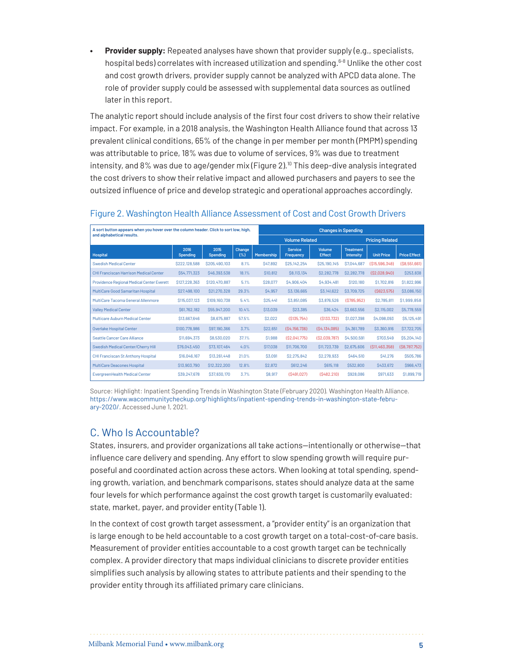**Provider supply:** Repeated analyses have shown that provider supply (e.g., specialists, hospital beds) correlates with increased utilization and spending.[6](#page-19-6)[-8](#page-19-7) Unlike the other cost and cost growth drivers, provider supply cannot be analyzed with APCD data alone. The role of provider supply could be assessed with supplemental data sources as outlined later in this report.

The analytic report should include analysis of the first four cost drivers to show their relative impact. For example, in a 2018 analysis, the Washington Health Alliance found that across 13 prevalent clinical conditions, 65% of the change in per member per month (PMPM) spending was attributable to price, 18% was due to volume of services, 9% was due to treatment intensity, and  $8\%$  was due to age/gender mix (Figure 2).<sup>[10](#page-19-8)</sup> This deep-dive analysis integrated the cost drivers to show their relative impact and allowed purchasers and payers to see the outsized influence of price and develop strategic and operational approaches accordingly.

| A sort button appears when you hover over the column header. Click to sort low, high, |                         |                         |               | <b>Changes in Spending</b> |                             |                                |                                      |                   |                     |
|---------------------------------------------------------------------------------------|-------------------------|-------------------------|---------------|----------------------------|-----------------------------|--------------------------------|--------------------------------------|-------------------|---------------------|
| and alphabetical results.                                                             |                         |                         |               | <b>Volume Related</b>      |                             |                                | <b>Pricing Related</b>               |                   |                     |
| <b>Hospital</b>                                                                       | 2016<br><b>Spending</b> | 2015<br><b>Spending</b> | Change<br>(%) | Membership                 | <b>Service</b><br>Frequency | <b>Volume</b><br><b>Effect</b> | <b>Treatment</b><br><b>Intensity</b> | <b>Unit Price</b> | <b>Price Effect</b> |
| <b>Swedish Medical Center</b>                                                         | S222.128.588            | S205.490.103            | 8.1%          | S47.892                    | S25.142.254                 | S25.190.145                    | S7.044.687                           | (S15.596.348)     | (S8, 551, 661)      |
| CHI Franciscan Harrison Medical Center                                                | S54.771.323             | S46,393,538             | 18.1%         | <b>S10.812</b>             | S8.113.134                  | <b>\$2,282,778</b>             | <b>\$2,282,778</b>                   | (S2.028.940)      | \$253,838           |
| Providence Regional Medical Center Everett                                            | \$127,228,363           | \$120,470,887           | 5.1%          | S28.077                    | S4.906.404                  | S4,934,481                     | S120.180                             | \$1,702,816       | \$1,822,996         |
| MultiCare Good Samaritan Hospital                                                     | S27,498,100             | S21,270,328             | 29.3%         | S4.957                     | S3,136,665                  | S3.141.622                     | \$3,709,725                          | (S623.575)        | \$3,086,150         |
| MultiCare Tacoma General Allenmore                                                    | \$115,037,123           | \$109,160,738           | 5.4%          | <b>\$25,441</b>            | S3.851.085                  | \$3,876,526                    | (S785.952)                           | S2.785.811        | \$1,999,858         |
| <b>Valley Medical Center</b>                                                          | \$61,762,182            | \$55,947,200            | 10.4%         | \$13,039                   | <b>S23.385</b>              | <b>\$36,424</b>                | S3.663.556                           | S2.115.002        | \$5,778,559         |
| Multicare Auburn Medical Center                                                       | \$13,667,646            | S8.675.887              | 57.5%         | <b>S2.022</b>              | (S135.754)                  | (S133.732)                     | \$1,027,398                          | S4.098.093        | \$5,125,491         |
| Overlake Hospital Center                                                              | \$100,778,986           | \$97,190,366            | 3.7%          | S22.651                    | (S4.156.736)                | (S4.134.085)                   | S4.361.789                           | S3.360.916        | <b>\$7,722,705</b>  |
| Seattle Cancer Care Alliance                                                          | \$11,694,373            | \$8,530,020             | 37.1%         | <b>\$1,988</b>             | (S2,041,775)                | (S2.039.787)                   | S4,500,591                           | S703.549          | \$5,204,140         |
| Swedish Medical Center/Cherry Hill                                                    | \$76,043,450            | S73.107.464             | 4.0%          | <b>S17.038</b>             | \$11,706,700                | \$11,723,739                   | S2.675.606                           | (S11.463.358)     | (S8, 787, 752)      |
| CHI Franciscan St Anthony Hospital                                                    | \$16,046,167            | \$13,261,448            | 21.0%         | \$3,091                    | <b>S2.275.842</b>           | S2.278.933                     | S464.510                             | S41.276           | \$505,786           |
| MultiCare Deacones Hospital                                                           | \$13,903,790            | \$12,322,200            | 12.8%         | <b>S2.872</b>              | \$612,246                   | S615,118                       | \$532,800                            | S433.672          | S966.473            |
| <b>EvergreenHealth Medical Center</b>                                                 | S39.247.678             | \$37,830,170            | 3.7%          | S8.917                     | (S491.027)                  | (S482.210)                     | \$928,086                            | S971.633          | \$1,899,719         |

#### Figure 2. Washington Health Alliance Assessment of Cost and Cost Growth Drivers

Source: Highlight: Inpatient Spending Trends in Washington State (February 2020). Washington Health Alliance. [https://www.wacommunitycheckup.org/highlights/inpatient-spending-trends-in-washington-state-febru](https://www.wacommunitycheckup.org/highlights/inpatient-spending-trends-in-washington-state-february-2020/)[ary-2020/](https://www.wacommunitycheckup.org/highlights/inpatient-spending-trends-in-washington-state-february-2020/). Accessed June 1, 2021.

## C. Who Is Accountable?

States, insurers, and provider organizations all take actions—intentionally or otherwise—that influence care delivery and spending. Any effort to slow spending growth will require purposeful and coordinated action across these actors. When looking at total spending, spending growth, variation, and benchmark comparisons, states should analyze data at the same four levels for which performance against the cost growth target is customarily evaluated: state, market, payer, and provider entity (Table 1).

In the context of cost growth target assessment, a "provider entity" is an organization that is large enough to be held accountable to a cost growth target on a total-cost-of-care basis. Measurement of provider entities accountable to a cost growth target can be technically complex. A provider directory that maps individual clinicians to discrete provider entities simplifies such analysis by allowing states to attribute patients and their spending to the provider entity through its affiliated primary care clinicians.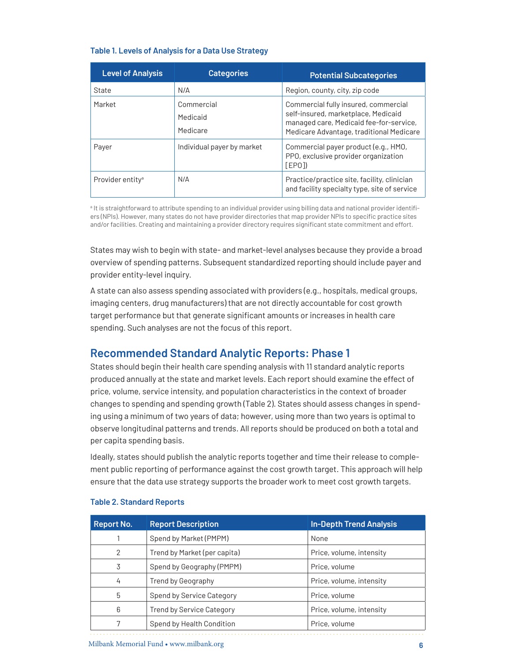#### **Table 1. Levels of Analysis for a Data Use Strategy**

| <b>Level of Analysis</b>     | <b>Categories</b>                  | <b>Potential Subcategories</b>                                                                                                                                     |
|------------------------------|------------------------------------|--------------------------------------------------------------------------------------------------------------------------------------------------------------------|
| State                        | N/A                                | Region, county, city, zip code                                                                                                                                     |
| Market                       | Commercial<br>Medicaid<br>Medicare | Commercial fully insured, commercial<br>self-insured, marketplace, Medicaid<br>managed care, Medicaid fee-for-service,<br>Medicare Advantage, traditional Medicare |
| Payer                        | Individual payer by market         | Commercial payer product (e.g., HMO,<br>PPO, exclusive provider organization<br>[EPO]                                                                              |
| Provider entity <sup>a</sup> | N/A                                | Practice/practice site, facility, clinician<br>and facility specialty type, site of service                                                                        |

<span id="page-5-0"></span><sup>a</sup> It is straightforward to attribute spending to an individual provider using billing data and national provider identifiers (NPIs). However, many states do not have provider directories that map provider NPIs to specific practice sites and/or facilities. Creating and maintaining a provider directory requires significant state commitment and effort.

States may wish to begin with state- and market-level analyses because they provide a broad overview of spending patterns. Subsequent standardized reporting should include payer and provider entity-level inquiry.

A state can also assess spending associated with providers (e.g., hospitals, medical groups, imaging centers, drug manufacturers) that are not directly accountable for cost growth target performance but that generate significant amounts or increases in health care spending. Such analyses are not the focus of this report.

## **Recommended Standard Analytic Reports: Phase 1**

States should begin their health care spending analysis with 11 standard analytic reports produced annually at the state and market levels. Each report should examine the effect of price, volume, service intensity, and population characteristics in the context of broader changes to spending and spending growth (Table 2). States should assess changes in spending using a minimum of two years of data; however, using more than two years is optimal to observe longitudinal patterns and trends. All reports should be produced on both a total and per capita spending basis.

Ideally, states should publish the analytic reports together and time their release to complement public reporting of performance against the cost growth target. This approach will help ensure that the data use strategy supports the broader work to meet cost growth targets.

| <b>Report No.</b> | <b>Report Description</b>        | <b>In-Depth Trend Analysis</b> |
|-------------------|----------------------------------|--------------------------------|
|                   | Spend by Market (PMPM)           | None                           |
| 2                 | Trend by Market (per capita)     | Price, volume, intensity       |
| 3                 | Spend by Geography (PMPM)        | Price, volume                  |
| 4                 | Trend by Geography               | Price, volume, intensity       |
| 5                 | Spend by Service Category        | Price, volume                  |
| 6                 | <b>Trend by Service Category</b> | Price, volume, intensity       |
|                   | Spend by Health Condition        | Price, volume                  |

#### **Table 2. Standard Reports**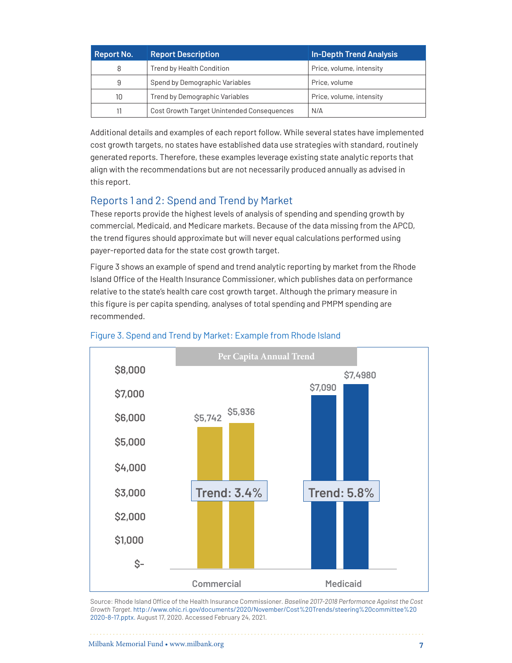| <b>Report No.</b> | <b>Report Description</b>                  | <b>In-Depth Trend Analysis</b> |
|-------------------|--------------------------------------------|--------------------------------|
| 8                 | Trend by Health Condition                  | Price, volume, intensity       |
| 9                 | Spend by Demographic Variables             | Price, volume                  |
| 10                | Trend by Demographic Variables             | Price, volume, intensity       |
| 11                | Cost Growth Target Unintended Consequences | N/A                            |

Additional details and examples of each report follow. While several states have implemented cost growth targets, no states have established data use strategies with standard, routinely generated reports. Therefore, these examples leverage existing state analytic reports that align with the recommendations but are not necessarily produced annually as advised in this report.

## Reports 1 and 2: Spend and Trend by Market

These reports provide the highest levels of analysis of spending and spending growth by commercial, Medicaid, and Medicare markets. Because of the data missing from the APCD, the trend figures should approximate but will never equal calculations performed using payer-reported data for the state cost growth target.

Figure 3 shows an example of spend and trend analytic reporting by market from the Rhode Island Office of the Health Insurance Commissioner, which publishes data on performance relative to the state's health care cost growth target. Although the primary measure in this figure is per capita spending, analyses of total spending and PMPM spending are recommended.



## Figure 3. Spend and Trend by Market: Example from Rhode Island

Source: Rhode Island Office of the Health Insurance Commissioner. *Baseline 2017-2018 Performance Against the Cost Growth Target.* [http://www.ohic.ri.gov/documents/2020/November/Cost%20Trends/steering%20committee%20](http://www.ohic.ri.gov/documents/2020/November/Cost%20Trends/steering%20committee%202020-8-17.pptx) [2020-8-17.pptx](http://www.ohic.ri.gov/documents/2020/November/Cost%20Trends/steering%20committee%202020-8-17.pptx). August 17, 2020. Accessed February 24, 2021.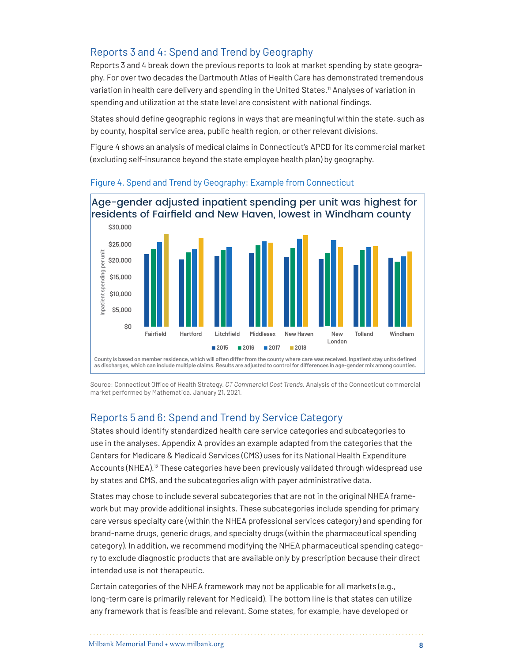## Reports 3 and 4: Spend and Trend by Geography

Reports 3 and 4 break down the previous reports to look at market spending by state geography. For over two decades the Dartmouth Atlas of Health Care has demonstrated tremendous variation in health care delivery and spending in the United States.<sup>11</sup> Analyses of variation in spending and utilization at the state level are consistent with national findings.

States should define geographic regions in ways that are meaningful within the state, such as by county, hospital service area, public health region, or other relevant divisions.

Figure 4 shows an analysis of medical claims in Connecticut's APCD for its commercial market (excluding self-insurance beyond the state employee health plan) by geography.



#### Figure 4. Spend and Trend by Geography: Example from Connecticut

Source: Connecticut Office of Health Strategy. *CT Commercial Cost Trends.* Analysis of the Connecticut commercial market performed by Mathematica. January 21, 2021.

## Reports 5 and 6: Spend and Trend by Service Category

States should identify standardized health care service categories and subcategories to use in the analyses. Appendix A provides an example adapted from the categories that the Centers for Medicare & Medicaid Services (CMS) uses for its National Health Expenditure Accounts (NHEA).<sup>12</sup> These categories have been previously validated through widespread use by states and CMS, and the subcategories align with payer administrative data.

States may chose to include several subcategories that are not in the original NHEA framework but may provide additional insights. These subcategories include spending for primary care versus specialty care (within the NHEA professional services category) and spending for brand-name drugs, generic drugs, and specialty drugs (within the pharmaceutical spending category). In addition, we recommend modifying the NHEA pharmaceutical spending category to exclude diagnostic products that are available only by prescription because their direct intended use is not therapeutic.

Certain categories of the NHEA framework may not be applicable for all markets (e.g., long-term care is primarily relevant for Medicaid). The bottom line is that states can utilize any framework that is feasible and relevant. Some states, for example, have developed or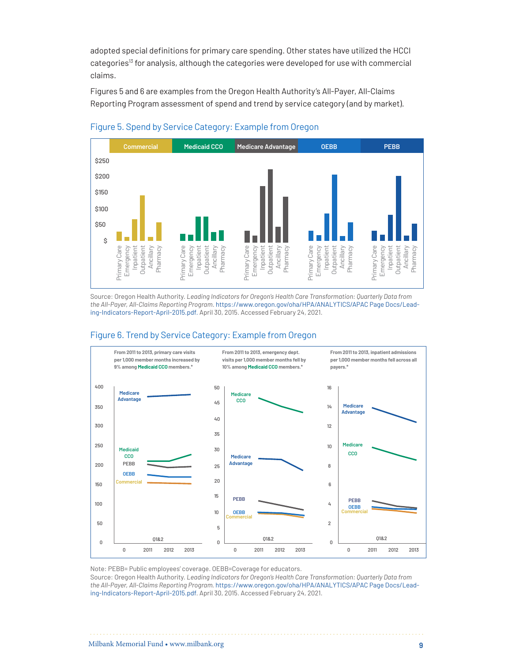adopted special definitions for primary care spending. Other states have utilized the HCCI categories<sup>13</sup> for analysis, although the categories were developed for use with commercial claims.

Figures 5 and 6 are examples from the Oregon Health Authority's All-Payer, All-Claims Reporting Program assessment of spend and trend by service category (and by market).



#### Figure 5. Spend by Service Category: Example from Oregon

Source: Oregon Health Authority. *Leading Indicators for Oregon's Health Care Transformation: Quarterly Data from the All-Payer, All-Claims Reporting Program*. https://www.oregon.gov/oha/HPA/ANALYTICS/APAC Page Docs/Leading-Indicators-Report-April-2015.pdf. April 30, 2015. Accessed February 24, 2021.



#### Figure 6. Trend by Service Category: Example from Oregon

Note: PEBB= Public employees' coverage. OEBB=Coverage for educators.

Source: Oregon Health Authority. *Leading Indicators for Oregon's Health Care Transformation: Quarterly Data from the All-Payer, All-Claims Reporting Program.* https://www.oregon.gov/oha/HPA/ANALYTICS/APAC Page Docs/Leading-Indicators-Report-April-2015.pdf. April 30, 2015. Accessed February 24, 2021.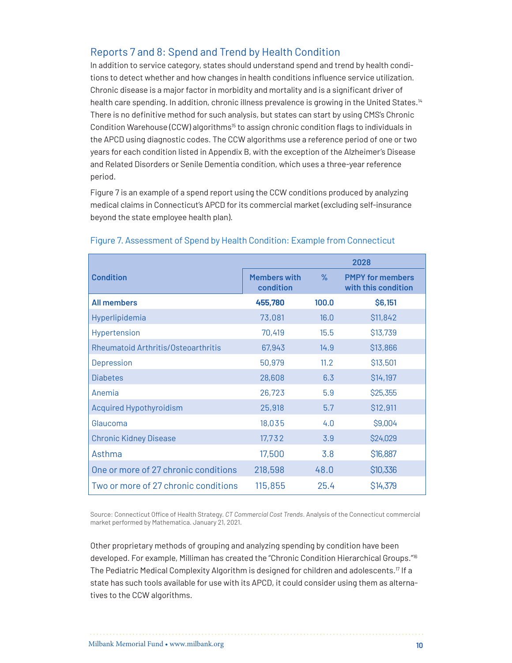## Reports 7 and 8: Spend and Trend by Health Condition

In addition to service category, states should understand spend and trend by health conditions to detect whether and how changes in health conditions influence service utilization. Chronic disease is a major factor in morbidity and mortality and is a significant driver of health care spending. In addition, chronic illness prevalence is growing in the United States.<sup>14</sup> There is no definitive method for such analysis, but states can start by using CMS's Chronic Condition Warehouse (CCW) algorithms<sup>15</sup> to assign chronic condition flags to individuals in the APCD using diagnostic codes. The CCW algorithms use a reference period of one or two years for each condition listed in Appendix B, with the exception of the Alzheimer's Disease and Related Disorders or Senile Dementia condition, which uses a three-year reference period.

Figure 7 is an example of a spend report using the CCW conditions produced by analyzing medical claims in Connecticut's APCD for its commercial market (excluding self-insurance beyond the state employee health plan).

|                                      | 2028                             |       |                                                |  |
|--------------------------------------|----------------------------------|-------|------------------------------------------------|--|
| <b>Condition</b>                     | <b>Members with</b><br>condition | $\%$  | <b>PMPY for members</b><br>with this condition |  |
| <b>All members</b>                   | 455,780                          | 100.0 | \$6,151                                        |  |
| Hyperlipidemia                       | 73,081                           | 16.0  | \$11,842                                       |  |
| Hypertension                         | 70,419                           | 15.5  | \$13,739                                       |  |
| Rheumatoid Arthritis/Osteoarthritis  | 67,943                           | 14.9  | \$13,866                                       |  |
| Depression                           | 50,979                           | 11.2  | \$13,501                                       |  |
| <b>Diabetes</b>                      | 28,608                           | 6.3   | \$14,197                                       |  |
| Anemia                               | 26,723                           | 5.9   | \$25,355                                       |  |
| <b>Acquired Hypothyroidism</b>       | 25,918                           | 5.7   | \$12,911                                       |  |
| Glaucoma                             | 18,035                           | 4.0   | \$9,004                                        |  |
| <b>Chronic Kidney Disease</b>        | 17,732                           | 3.9   | \$24,029                                       |  |
| Asthma                               | 17,500                           | 3.8   | \$16,887                                       |  |
| One or more of 27 chronic conditions | 218,598                          | 48.0  | \$10,336                                       |  |
| Two or more of 27 chronic conditions | 115,855                          | 25.4  | \$14,379                                       |  |

#### Figure 7. Assessment of Spend by Health Condition: Example from Connecticut

Source: Connecticut Office of Health Strategy. *CT Commercial Cost Trends*. Analysis of the Connecticut commercial market performed by Mathematica. January 21, 2021.

Other proprietary methods of grouping and analyzing spending by condition have been developed. For example, Milliman has created the "Chronic Condition Hierarchical Groups.["16](#page-20-0) The Pediatric Medical Complexity Algorithm is designed for children and adolescents[.17](#page-20-1) If a state has such tools available for use with its APCD, it could consider using them as alternatives to the CCW algorithms.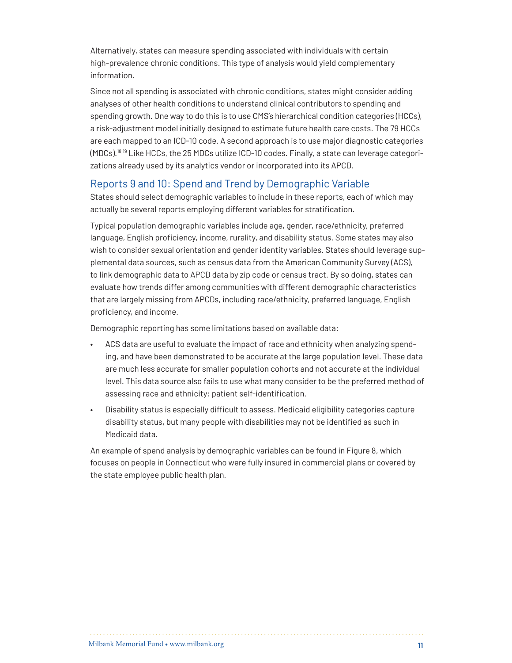Alternatively, states can measure spending associated with individuals with certain high-prevalence chronic conditions. This type of analysis would yield complementary information.

Since not all spending is associated with chronic conditions, states might consider adding analyses of other health conditions to understand clinical contributors to spending and spending growth. One way to do this is to use CMS's hierarchical condition categories (HCCs), a risk-adjustment model initially designed to estimate future health care costs. The 79 HCCs are each mapped to an ICD-10 code. A second approach is to use major diagnostic categories (MDCs)[.18](#page-20-2),[19](#page-20-3) Like HCCs, the 25 MDCs utilize ICD-10 codes. Finally, a state can leverage categorizations already used by its analytics vendor or incorporated into its APCD.

## Reports 9 and 10: Spend and Trend by Demographic Variable

States should select demographic variables to include in these reports, each of which may actually be several reports employing different variables for stratification.

Typical population demographic variables include age, gender, race/ethnicity, preferred language, English proficiency, income, rurality, and disability status. Some states may also wish to consider sexual orientation and gender identity variables. States should leverage supplemental data sources, such as census data from the American Community Survey (ACS), to link demographic data to APCD data by zip code or census tract. By so doing, states can evaluate how trends differ among communities with different demographic characteristics that are largely missing from APCDs, including race/ethnicity, preferred language, English proficiency, and income.

Demographic reporting has some limitations based on available data:

- ACS data are useful to evaluate the impact of race and ethnicity when analyzing spending, and have been demonstrated to be accurate at the large population level. These data are much less accurate for smaller population cohorts and not accurate at the individual level. This data source also fails to use what many consider to be the preferred method of assessing race and ethnicity: patient self-identification.
- Disability status is especially difficult to assess. Medicaid eligibility categories capture disability status, but many people with disabilities may not be identified as such in Medicaid data.

An example of spend analysis by demographic variables can be found in Figure 8, which focuses on people in Connecticut who were fully insured in commercial plans or covered by the state employee public health plan.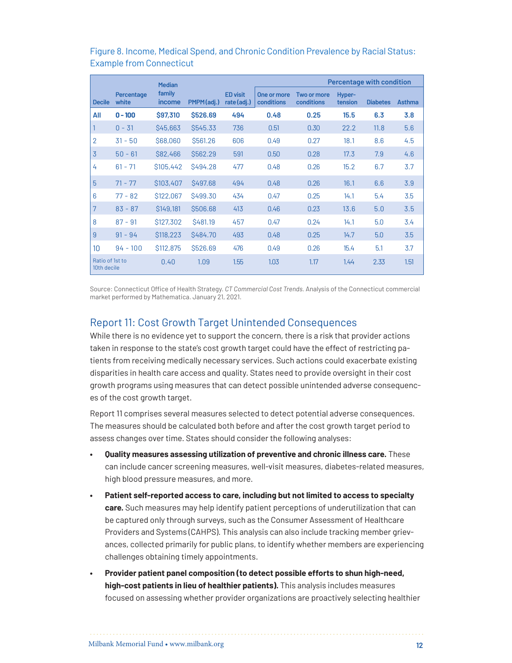|                                |                     | <b>Median</b>           |                      |                                |                           |                           |                   | <b>Percentage with condition</b> |               |
|--------------------------------|---------------------|-------------------------|----------------------|--------------------------------|---------------------------|---------------------------|-------------------|----------------------------------|---------------|
| <b>Decile</b>                  | Percentage<br>white | family<br><i>income</i> | PMPM(adj.)           | <b>ED visit</b><br>rate (adj.) | One or more<br>conditions | Two or more<br>conditions | Hyper-<br>tension | <b>Diabetes</b>                  | <b>Asthma</b> |
| All                            | $0 - 100$           | \$97,310                | \$526.69             | 494                            | 0.48                      | 0.25                      | 15.5              | 6.3                              | 3.8           |
|                                | $0 - 31$            | \$45,663                | \$545.33             | 736                            | 0.51                      | 0.30                      | 22.2              | 11.8                             | 5.6           |
| $\overline{2}$                 | $31 - 50$           | \$68,060                | <b>\$561.26</b>      | 606                            | 0.49                      | 0.27                      | 18.1              | 8.6                              | 4.5           |
| 3                              | $50 - 61$           | S82,466                 | <b>\$562.29</b>      | 591                            | 0.50                      | 0.28                      | 17.3              | 7.9                              | 4.6           |
| 4                              | $61 - 71$           | \$105,442               | <b>S494.28</b>       | 477                            | 0.48                      | 0.26                      | 15.2              | 6.7                              | 3.7           |
| 5                              | $71 - 77$           | \$103,407               | <b>\$497.68</b>      | 494                            | 0.48                      | 0.26                      | 16.1              | 6.6                              | 3.9           |
| 6                              | $77 - 82$           | \$122,067               | <b>\$499.30</b>      | 434                            | 0.47                      | 0.25                      | 14.1              | 5.4                              | 3.5           |
| 7                              | $83 - 87$           | \$149,181               | \$506.68             | 413                            | 0.46                      | 0.23                      | 13.6              | 5.0                              | 3.5           |
| 8                              | $87 - 91$           | \$127,302               | S <sub>4</sub> 81.19 | 457                            | 0.47                      | 0.24                      | 14.1              | 5.0                              | 3.4           |
| 9                              | $91 - 94$           | \$118,223               | <b>\$484.70</b>      | 493                            | 0.48                      | 0.25                      | 14.7              | 5.0                              | 3.5           |
| 10                             | $94 - 100$          | \$112,875               | \$526.69             | 476                            | 0.49                      | 0.26                      | 15.4              | 5.1                              | 3.7           |
| Ratio of 1st to<br>10th decile |                     | 0.40                    | 1.09                 | 1.55                           | 1.03                      | 1.17                      | 1.44              | 2.33                             | 1.51          |

#### Figure 8. Income, Medical Spend, and Chronic Condition Prevalence by Racial Status: Example from Connecticut

Source: Connecticut Office of Health Strategy. *CT Commercial Cost Trends.* Analysis of the Connecticut commercial market performed by Mathematica. January 21, 2021.

## Report 11: Cost Growth Target Unintended Consequences

While there is no evidence yet to support the concern, there is a risk that provider actions taken in response to the state's cost growth target could have the effect of restricting patients from receiving medically necessary services. Such actions could exacerbate existing disparities in health care access and quality. States need to provide oversight in their cost growth programs using measures that can detect possible unintended adverse consequences of the cost growth target.

Report 11 comprises several measures selected to detect potential adverse consequences. The measures should be calculated both before and after the cost growth target period to assess changes over time. States should consider the following analyses:

- **• Quality measures assessing utilization of preventive and chronic illness care.** These can include cancer screening measures, well-visit measures, diabetes-related measures, high blood pressure measures, and more.
- **• Patient self-reported access to care, including but not limited to access to specialty care.** Such measures may help identify patient perceptions of underutilization that can be captured only through surveys, such as the Consumer Assessment of Healthcare Providers and Systems (CAHPS). This analysis can also include tracking member grievances, collected primarily for public plans, to identify whether members are experiencing challenges obtaining timely appointments.
- **• Provider patient panel composition (to detect possible efforts to shun high-need, high-cost patients in lieu of healthier patients).** This analysis includes measures focused on assessing whether provider organizations are proactively selecting healthier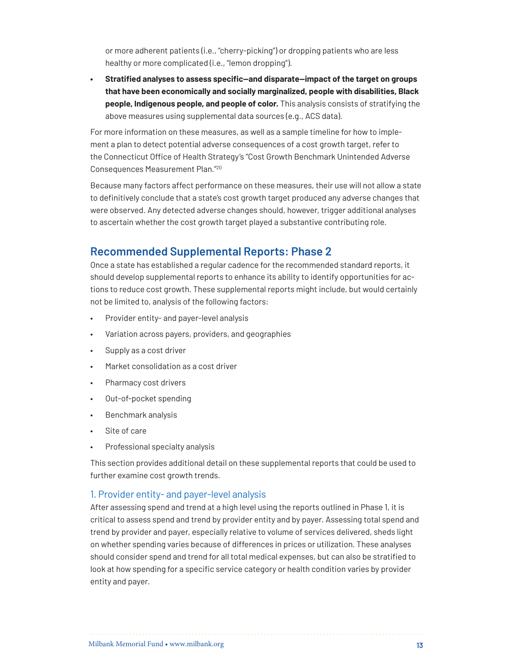or more adherent patients (i.e., "cherry-picking") or dropping patients who are less healthy or more complicated (i.e., "lemon dropping").

**• Stratified analyses to assess specific—and disparate—impact of the target on groups that have been economically and socially marginalized, people with disabilities, Black people, Indigenous people, and people of color.** This analysis consists of stratifying the above measures using supplemental data sources (e.g., ACS data).

For more information on these measures, as well as a sample timeline for how to implement a plan to detect potential adverse consequences of a cost growth target, refer to the Connecticut Office of Health Strategy's "Cost Growth Benchmark Unintended Adverse Consequences Measurement Plan."[20](#page-20-4)

Because many factors affect performance on these measures, their use will not allow a state to definitively conclude that a state's cost growth target produced any adverse changes that were observed. Any detected adverse changes should, however, trigger additional analyses to ascertain whether the cost growth target played a substantive contributing role.

## **Recommended Supplemental Reports: Phase 2**

Once a state has established a regular cadence for the recommended standard reports, it should develop supplemental reports to enhance its ability to identify opportunities for actions to reduce cost growth. These supplemental reports might include, but would certainly not be limited to, analysis of the following factors:

- Provider entity- and payer-level analysis
- Variation across payers, providers, and geographies
- Supply as a cost driver
- Market consolidation as a cost driver
- Pharmacy cost drivers
- Out-of-pocket spending
- Benchmark analysis
- Site of care
- Professional specialty analysis

This section provides additional detail on these supplemental reports that could be used to further examine cost growth trends.

#### 1. Provider entity- and payer-level analysis

After assessing spend and trend at a high level using the reports outlined in Phase 1, it is critical to assess spend and trend by provider entity and by payer. Assessing total spend and trend by provider and payer, especially relative to volume of services delivered, sheds light on whether spending varies because of differences in prices or utilization. These analyses should consider spend and trend for all total medical expenses, but can also be stratified to look at how spending for a specific service category or health condition varies by provider entity and payer.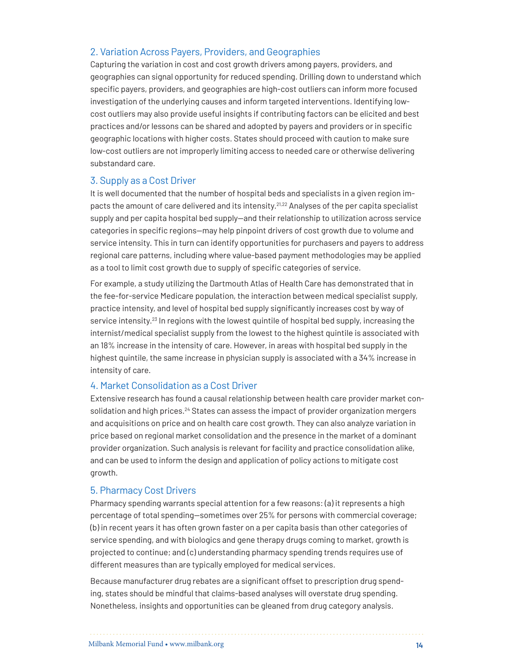#### 2. Variation Across Payers, Providers, and Geographies

Capturing the variation in cost and cost growth drivers among payers, providers, and geographies can signal opportunity for reduced spending. Drilling down to understand which specific payers, providers, and geographies are high-cost outliers can inform more focused investigation of the underlying causes and inform targeted interventions. Identifying lowcost outliers may also provide useful insights if contributing factors can be elicited and best practices and/or lessons can be shared and adopted by payers and providers or in specific geographic locations with higher costs. States should proceed with caution to make sure low-cost outliers are not improperly limiting access to needed care or otherwise delivering substandard care.

#### 3. Supply as a Cost Driver

It is well documented that the number of hospital beds and specialists in a given region im-pacts the amount of care delivered and its intensity.<sup>[21](#page-20-5),22</sup> Analyses of the per capita specialist supply and per capita hospital bed supply—and their relationship to utilization across service categories in specific regions—may help pinpoint drivers of cost growth due to volume and service intensity. This in turn can identify opportunities for purchasers and payers to address regional care patterns, including where value-based payment methodologies may be applied as a tool to limit cost growth due to supply of specific categories of service.

For example, a study utilizing the Dartmouth Atlas of Health Care has demonstrated that in the fee-for-service Medicare population, the interaction between medical specialist supply, practice intensity, and level of hospital bed supply significantly increases cost by way of service intensity.<sup>[23](#page-20-7)</sup> In regions with the lowest quintile of hospital bed supply, increasing the internist/medical specialist supply from the lowest to the highest quintile is associated with an 18% increase in the intensity of care. However, in areas with hospital bed supply in the highest quintile, the same increase in physician supply is associated with a 34% increase in intensity of care.

#### 4. Market Consolidation as a Cost Driver

Extensive research has found a causal relationship between health care provider market con-solidation and high prices.<sup>[24](#page-20-8)</sup> States can assess the impact of provider organization mergers and acquisitions on price and on health care cost growth. They can also analyze variation in price based on regional market consolidation and the presence in the market of a dominant provider organization. Such analysis is relevant for facility and practice consolidation alike, and can be used to inform the design and application of policy actions to mitigate cost growth.

#### 5. Pharmacy Cost Drivers

Pharmacy spending warrants special attention for a few reasons: (a) it represents a high percentage of total spending—sometimes over 25% for persons with commercial coverage; (b) in recent years it has often grown faster on a per capita basis than other categories of service spending, and with biologics and gene therapy drugs coming to market, growth is projected to continue; and (c) understanding pharmacy spending trends requires use of different measures than are typically employed for medical services.

Because manufacturer drug rebates are a significant offset to prescription drug spending, states should be mindful that claims-based analyses will overstate drug spending. Nonetheless, insights and opportunities can be gleaned from drug category analysis.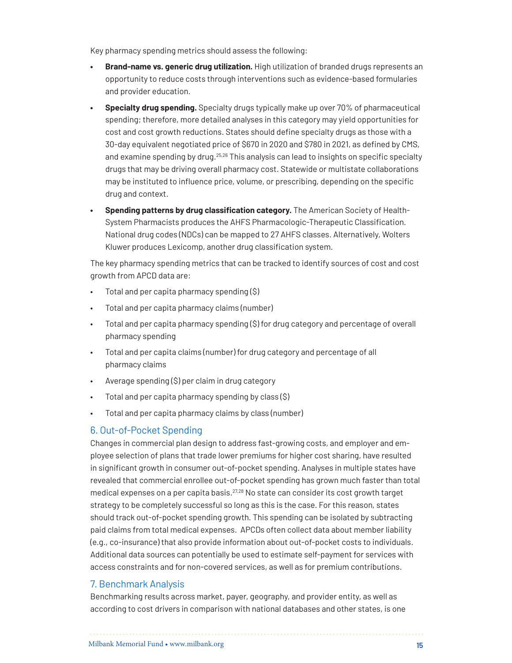Key pharmacy spending metrics should assess the following:

- **• Brand-name vs. generic drug utilization.** High utilization of branded drugs represents an opportunity to reduce costs through interventions such as evidence-based formularies and provider education.
- **• Specialty drug spending.** Specialty drugs typically make up over 70% of pharmaceutical spending; therefore, more detailed analyses in this category may yield opportunities for cost and cost growth reductions. States should define specialty drugs as those with a 30-day equivalent negotiated price of \$670 in 2020 and \$780 in 2021, as defined by CMS, and examine spending by drug.<sup>[25](#page-20-9)[,26](#page-20-10)</sup> This analysis can lead to insights on specific specialty drugs that may be driving overall pharmacy cost. Statewide or multistate collaborations may be instituted to influence price, volume, or prescribing, depending on the specific drug and context.
- **• Spending patterns by drug classification category.** The American Society of Health-System Pharmacists produces the AHFS Pharmacologic-Therapeutic Classification. National drug codes (NDCs) can be mapped to 27 AHFS classes. Alternatively, Wolters Kluwer produces Lexicomp, another drug classification system.

The key pharmacy spending metrics that can be tracked to identify sources of cost and cost growth from APCD data are:

- Total and per capita pharmacy spending (\$)
- Total and per capita pharmacy claims (number)
- Total and per capita pharmacy spending (\$) for drug category and percentage of overall pharmacy spending
- Total and per capita claims (number) for drug category and percentage of all pharmacy claims
- Average spending (\$) per claim in drug category
- Total and per capita pharmacy spending by class (\$)
- Total and per capita pharmacy claims by class (number)

## 6. Out-of-Pocket Spending

Changes in commercial plan design to address fast-growing costs, and employer and employee selection of plans that trade lower premiums for higher cost sharing, have resulted in significant growth in consumer out-of-pocket spending. Analyses in multiple states have revealed that commercial enrollee out-of-pocket spending has grown much faster than total medical expenses on a per capita basis.<sup>27[,28](#page-20-12)</sup> No state can consider its cost growth target strategy to be completely successful so long as this is the case. For this reason, states should track out-of-pocket spending growth. This spending can be isolated by subtracting paid claims from total medical expenses. APCDs often collect data about member liability (e.g., co-insurance) that also provide information about out-of-pocket costs to individuals. Additional data sources can potentially be used to estimate self-payment for services with access constraints and for non-covered services, as well as for premium contributions.

#### 7. Benchmark Analysis

Benchmarking results across market, payer, geography, and provider entity, as well as according to cost drivers in comparison with national databases and other states, is one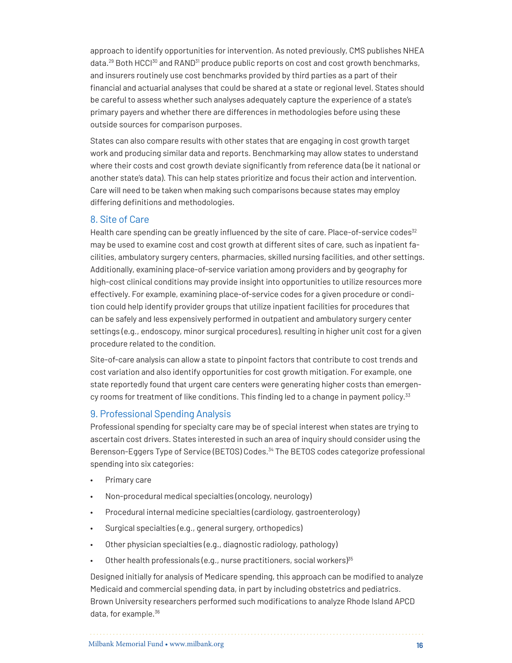approach to identify opportunities for intervention. As noted previously, CMS publishes NHEA data.<sup>29</sup> Both HCCI<sup>30</sup> and RAND<sup>31</sup> produce public reports on cost and cost growth benchmarks, and insurers routinely use cost benchmarks provided by third parties as a part of their financial and actuarial analyses that could be shared at a state or regional level. States should be careful to assess whether such analyses adequately capture the experience of a state's primary payers and whether there are differences in methodologies before using these outside sources for comparison purposes.

States can also compare results with other states that are engaging in cost growth target work and producing similar data and reports. Benchmarking may allow states to understand where their costs and cost growth deviate significantly from reference data (be it national or another state's data). This can help states prioritize and focus their action and intervention. Care will need to be taken when making such comparisons because states may employ differing definitions and methodologies.

#### 8. Site of Care

Health care spending can be greatly influenced by the site of care. Place-of-service codes<sup>[32](#page-21-3)</sup> may be used to examine cost and cost growth at different sites of care, such as inpatient facilities, ambulatory surgery centers, pharmacies, skilled nursing facilities, and other settings. Additionally, examining place-of-service variation among providers and by geography for high-cost clinical conditions may provide insight into opportunities to utilize resources more effectively. For example, examining place-of-service codes for a given procedure or condition could help identify provider groups that utilize inpatient facilities for procedures that can be safely and less expensively performed in outpatient and ambulatory surgery center settings (e.g., endoscopy, minor surgical procedures), resulting in higher unit cost for a given procedure related to the condition.

Site-of-care analysis can allow a state to pinpoint factors that contribute to cost trends and cost variation and also identify opportunities for cost growth mitigation. For example, one state reportedly found that urgent care centers were generating higher costs than emergen-cy rooms for treatment of like conditions. This finding led to a change in payment policy.<sup>[33](#page-21-4)</sup>

#### 9. Professional Spending Analysis

Professional spending for specialty care may be of special interest when states are trying to ascertain cost drivers. States interested in such an area of inquiry should consider using the Berenson-Eggers Type of Service (BETOS) Codes.<sup>34</sup> The BETOS codes categorize professional spending into six categories:

- Primary care
- Non-procedural medical specialties (oncology, neurology)
- Procedural internal medicine specialties (cardiology, gastroenterology)
- Surgical specialties (e.g., general surgery, orthopedics)
- Other physician specialties (e.g., diagnostic radiology, pathology)
- Other health professionals (e.g., nurse practitioners, social workers) $35$

Designed initially for analysis of Medicare spending, this approach can be modified to analyze Medicaid and commercial spending data, in part by including obstetrics and pediatrics. Brown University researchers performed such modifications to analyze Rhode Island APCD data, for example[.36](#page-21-7)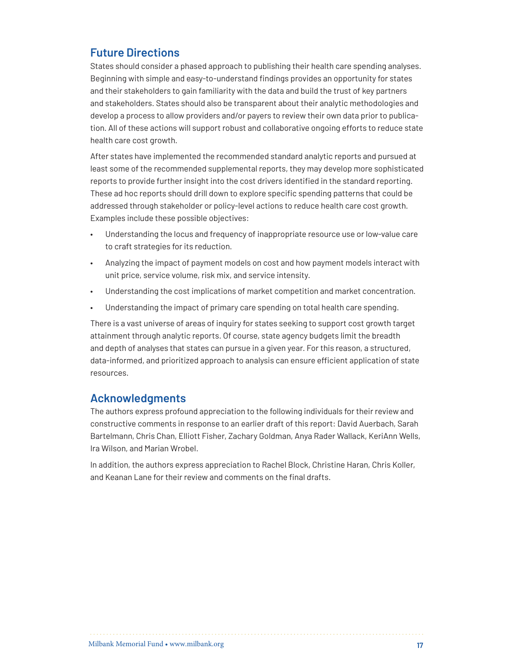## **Future Directions**

States should consider a phased approach to publishing their health care spending analyses. Beginning with simple and easy-to-understand findings provides an opportunity for states and their stakeholders to gain familiarity with the data and build the trust of key partners and stakeholders. States should also be transparent about their analytic methodologies and develop a process to allow providers and/or payers to review their own data prior to publication. All of these actions will support robust and collaborative ongoing efforts to reduce state health care cost growth.

After states have implemented the recommended standard analytic reports and pursued at least some of the recommended supplemental reports, they may develop more sophisticated reports to provide further insight into the cost drivers identified in the standard reporting. These ad hoc reports should drill down to explore specific spending patterns that could be addressed through stakeholder or policy-level actions to reduce health care cost growth. Examples include these possible objectives:

- Understanding the locus and frequency of inappropriate resource use or low-value care to craft strategies for its reduction.
- Analyzing the impact of payment models on cost and how payment models interact with unit price, service volume, risk mix, and service intensity.
- Understanding the cost implications of market competition and market concentration.
- Understanding the impact of primary care spending on total health care spending.

There is a vast universe of areas of inquiry for states seeking to support cost growth target attainment through analytic reports. Of course, state agency budgets limit the breadth and depth of analyses that states can pursue in a given year. For this reason, a structured, data-informed, and prioritized approach to analysis can ensure efficient application of state resources.

## **Acknowledgments**

The authors express profound appreciation to the following individuals for their review and constructive comments in response to an earlier draft of this report: David Auerbach, Sarah Bartelmann, Chris Chan, Elliott Fisher, Zachary Goldman, Anya Rader Wallack, KeriAnn Wells, Ira Wilson, and Marian Wrobel.

In addition, the authors express appreciation to Rachel Block, Christine Haran, Chris Koller, and Keanan Lane for their review and comments on the final drafts.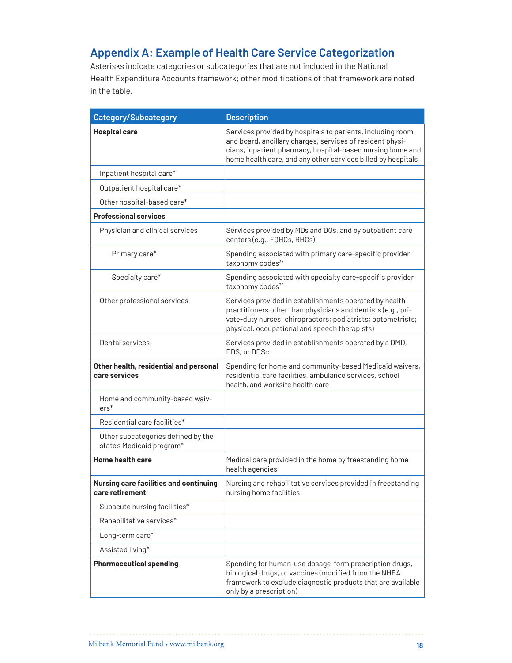## **Appendix A: Example of Health Care Service Categorization**

Asterisks indicate categories or subcategories that are not included in the National Health Expenditure Accounts framework; other modifications of that framework are noted in the table.

| <b>Category/Subcategory</b>                                      | <b>Description</b>                                                                                                                                                                                                                                    |
|------------------------------------------------------------------|-------------------------------------------------------------------------------------------------------------------------------------------------------------------------------------------------------------------------------------------------------|
| <b>Hospital care</b>                                             | Services provided by hospitals to patients, including room<br>and board, ancillary charges, services of resident physi-<br>cians, inpatient pharmacy, hospital-based nursing home and<br>home health care, and any other services billed by hospitals |
| Inpatient hospital care*                                         |                                                                                                                                                                                                                                                       |
| Outpatient hospital care*                                        |                                                                                                                                                                                                                                                       |
| Other hospital-based care*                                       |                                                                                                                                                                                                                                                       |
| <b>Professional services</b>                                     |                                                                                                                                                                                                                                                       |
| Physician and clinical services                                  | Services provided by MDs and DOs, and by outpatient care<br>centers (e.g., FQHCs, RHCs)                                                                                                                                                               |
| Primary care*                                                    | Spending associated with primary care-specific provider<br>taxonomy codes <sup>37</sup>                                                                                                                                                               |
| Specialty care*                                                  | Spending associated with specialty care-specific provider<br>taxonomy codes <sup>38</sup>                                                                                                                                                             |
| Other professional services                                      | Services provided in establishments operated by health<br>practitioners other than physicians and dentists (e.g., pri-<br>vate-duty nurses; chiropractors; podiatrists; optometrists;<br>physical, occupational and speech therapists)                |
| Dental services                                                  | Services provided in establishments operated by a DMD,<br>DDS, or DDSc                                                                                                                                                                                |
| Other health, residential and personal<br>care services          | Spending for home and community-based Medicaid waivers,<br>residential care facilities, ambulance services, school<br>health, and worksite health care                                                                                                |
| Home and community-based waiv-<br>$ers*$                         |                                                                                                                                                                                                                                                       |
| Residential care facilities*                                     |                                                                                                                                                                                                                                                       |
| Other subcategories defined by the<br>state's Medicaid program*  |                                                                                                                                                                                                                                                       |
| <b>Home health care</b>                                          | Medical care provided in the home by freestanding home<br>health agencies                                                                                                                                                                             |
| <b>Nursing care facilities and continuing</b><br>care retirement | Nursing and rehabilitative services provided in freestanding<br>nursing home facilities                                                                                                                                                               |
| Subacute nursing facilities*                                     |                                                                                                                                                                                                                                                       |
| Rehabilitative services*                                         |                                                                                                                                                                                                                                                       |
| Long-term care*                                                  |                                                                                                                                                                                                                                                       |
| Assisted living*                                                 |                                                                                                                                                                                                                                                       |
| <b>Pharmaceutical spending</b>                                   | Spending for human-use dosage-form prescription drugs,<br>biological drugs, or vaccines (modified from the NHEA<br>framework to exclude diagnostic products that are available<br>only by a prescription)                                             |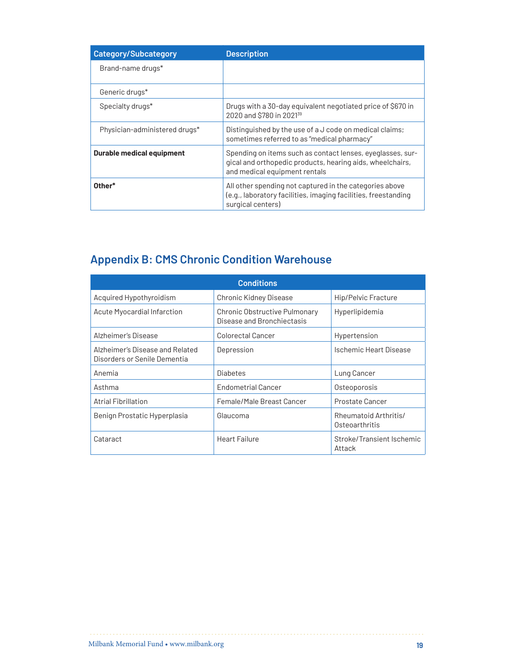| <b>Category/Subcategory</b>      | <b>Description</b>                                                                                                                                       |
|----------------------------------|----------------------------------------------------------------------------------------------------------------------------------------------------------|
| Brand-name drugs*                |                                                                                                                                                          |
| Generic drugs <sup>*</sup>       |                                                                                                                                                          |
| Specialty drugs*                 | Drugs with a 30-day equivalent negotiated price of \$670 in<br>2020 and \$780 in 2021 <sup>39</sup>                                                      |
| Physician-administered drugs*    | Distinguished by the use of a J code on medical claims;<br>sometimes referred to as "medical pharmacy"                                                   |
| <b>Durable medical equipment</b> | Spending on items such as contact lenses, eyeglasses, sur-<br>gical and orthopedic products, hearing aids, wheelchairs,<br>and medical equipment rentals |
| Other*                           | All other spending not captured in the categories above<br>(e.g., laboratory facilities, imaging facilities, freestanding<br>surgical centers)           |

# **Appendix B: CMS Chronic Condition Warehouse**

| <b>Conditions</b>                                               |                                                             |                                         |  |  |  |  |
|-----------------------------------------------------------------|-------------------------------------------------------------|-----------------------------------------|--|--|--|--|
| Acquired Hypothyroidism                                         | <b>Chronic Kidney Disease</b>                               | <b>Hip/Pelvic Fracture</b>              |  |  |  |  |
| Acute Myocardial Infarction                                     | Chronic Obstructive Pulmonary<br>Disease and Bronchiectasis | Hyperlipidemia                          |  |  |  |  |
| Alzheimer's Disease                                             | Colorectal Cancer                                           | Hypertension                            |  |  |  |  |
| Alzheimer's Disease and Related<br>Disorders or Senile Dementia | Depression                                                  | Ischemic Heart Disease                  |  |  |  |  |
| Anemia                                                          | <b>Diabetes</b>                                             | Lung Cancer                             |  |  |  |  |
| Asthma                                                          | <b>Endometrial Cancer</b>                                   | Osteoporosis                            |  |  |  |  |
| <b>Atrial Fibrillation</b>                                      | Female/Male Breast Cancer                                   | Prostate Cancer                         |  |  |  |  |
| Benign Prostatic Hyperplasia                                    | Glaucoma                                                    | Rheumatoid Arthritis/<br>Osteoarthritis |  |  |  |  |
| Cataract                                                        | Heart Failure                                               | Stroke/Transient Ischemic<br>Attack     |  |  |  |  |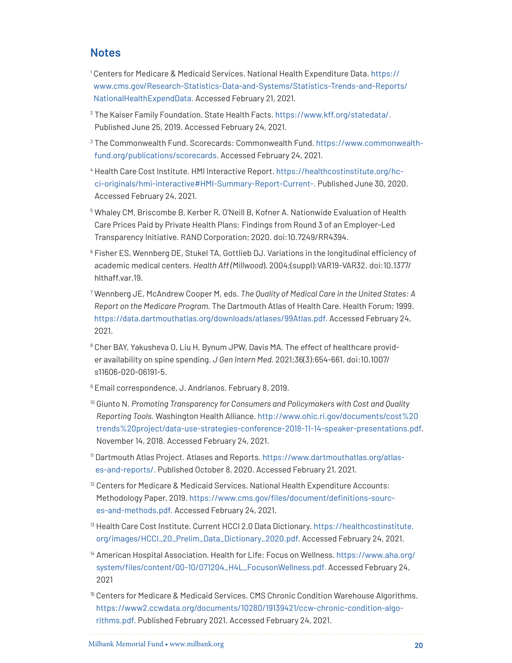## <span id="page-19-0"></span>**Notes**

- <sup>1</sup> Centers for Medicare & Medicaid Services. National Health Expenditure Data. [https://](https://www.cms.gov/Research-Statistics-Data-and-Systems/Statistics-Trends-and-Reports/NationalHealthExpendData) [www.cms.gov/Research-Statistics-Data-and-Systems/Statistics-Trends-and-Reports/](https://www.cms.gov/Research-Statistics-Data-and-Systems/Statistics-Trends-and-Reports/NationalHealthExpendData) [NationalHealthExpendData.](https://www.cms.gov/Research-Statistics-Data-and-Systems/Statistics-Trends-and-Reports/NationalHealthExpendData) Accessed February 21, 2021.
- <span id="page-19-1"></span><sup>2</sup> The Kaiser Family Foundation. State Health Facts. https://www.kff.org/statedata/. Published June 25, 2019. Accessed February 24, 2021.
- <span id="page-19-2"></span><sup>3</sup> The Commonwealth Fund. Scorecards: Commonwealth Fund. [https://www.commonwealth](https://www.commonwealthfund.org/publications/scorecards)[fund.org/publications/scorecards](https://www.commonwealthfund.org/publications/scorecards). Accessed February 24, 2021.
- <span id="page-19-3"></span><sup>4</sup> Health Care Cost Institute. HMI Interactive Report. https://healthcostinstitute.org/hcci-originals/hmi-interactive#HMI-Summary-Report-Current-. Published June 30, 2020. Accessed February 24, 2021.
- <span id="page-19-4"></span><sup>5</sup> Whaley CM, Briscombe B, Kerber R, O'Neill B, Kofner A. Nationwide Evaluation of Health Care Prices Paid by Private Health Plans: Findings from Round 3 of an Employer-Led Transparency Initiative. RAND Corporation; 2020. doi:10.7249/RR4394.
- <span id="page-19-6"></span><sup>6</sup> Fisher ES, Wennberg DE, Stukel TA, Gottlieb DJ. Variations in the longitudinal efficiency of academic medical centers. *Health Aff (Millwood*). 2004;(suppl):VAR19-VAR32. doi:10.1377/ hlthaff.var.19.
- <sup>7</sup> Wennberg JE, McAndrew Cooper M, eds. *The Quality of Medical Care in the United States: A Report on the Medicare Program.* The Dartmouth Atlas of Health Care. Health Forum; 1999. <https://data.dartmouthatlas.org/downloads/atlases/99Atlas.pdf>. Accessed February 24, 2021.
- <span id="page-19-7"></span><sup>8</sup> Cher BAY, Yakusheva O, Liu H, Bynum JPW, Davis MA. The effect of healthcare provider availability on spine spending. *J Gen Intern Med.* 2021;36(3):654-661. doi:10.1007/ s11606-020-06191-5.
- <span id="page-19-5"></span><sup>9</sup> Email correspondence, J. Andrianos. February 8, 2019.
- <span id="page-19-8"></span><sup>10</sup> Giunto N. *Promoting Transparency for Consumers and Policymakers with Cost and Quality Reporting Tools.* Washington Health Alliance. [http://www.ohic.ri.gov/documents/cost%20](http://www.ohic.ri.gov/documents/cost%20trends%20project/data-use-strategies-conference-2018-11-14-speaker-presentations.pdf) [trends%20project/data-use-strategies-conference-2018-11-14-speaker-presentations.pdf.](http://www.ohic.ri.gov/documents/cost%20trends%20project/data-use-strategies-conference-2018-11-14-speaker-presentations.pdf) November 14, 2018. Accessed February 24, 2021.
- <span id="page-19-9"></span><sup>11</sup> Dartmouth Atlas Project. Atlases and Reports. [https://www.dartmouthatlas.org/atlas](https://www.dartmouthatlas.org/atlases-and-reports/)[es-and-reports/.](https://www.dartmouthatlas.org/atlases-and-reports/) Published October 8, 2020. Accessed February 21, 2021.
- <span id="page-19-10"></span> $12$  Centers for Medicare & Medicaid Services. National Health Expenditure Accounts: Methodology Paper, 2019. [https://www.cms.gov/files/document/definitions-sourc](https://www.cms.gov/files/document/definitions-sources-and-methods.pdf)[es-and-methods.pdf.](https://www.cms.gov/files/document/definitions-sources-and-methods.pdf) Accessed February 24, 2021.
- <span id="page-19-11"></span><sup>13</sup> Health Care Cost Institute. Current HCCI 2.0 Data Dictionary. [https://healthcostinstitute.](https://healthcostinstitute.org/images/HCCI_20_Prelim_Data_Dictionary_2020.pdf) [org/images/HCCI\\_20\\_Prelim\\_Data\\_Dictionary\\_2020.pdf](https://healthcostinstitute.org/images/HCCI_20_Prelim_Data_Dictionary_2020.pdf). Accessed February 24, 2021.
- <span id="page-19-12"></span><sup>14</sup> American Hospital Association. Health for Life: Focus on Wellness. [https://www.aha.org/](https://www.aha.org/system/files/content/00-10/071204_H4L_FocusonWellness.pdf) [system/files/content/00-10/071204\\_H4L\\_FocusonWellness.pdf](https://www.aha.org/system/files/content/00-10/071204_H4L_FocusonWellness.pdf). Accessed February 24, 2021
- <span id="page-19-13"></span><sup>15</sup> Centers for Medicare & Medicaid Services. CMS Chronic Condition Warehouse Algorithms. [https://www2.ccwdata.org/documents/10280/19139421/ccw-chronic-condition-algo](https://www2.ccwdata.org/documents/10280/19139421/ccw-chronic-condition-algorithms.pdf)[rithms.pdf](https://www2.ccwdata.org/documents/10280/19139421/ccw-chronic-condition-algorithms.pdf). Published February 2021. Accessed February 24, 2021.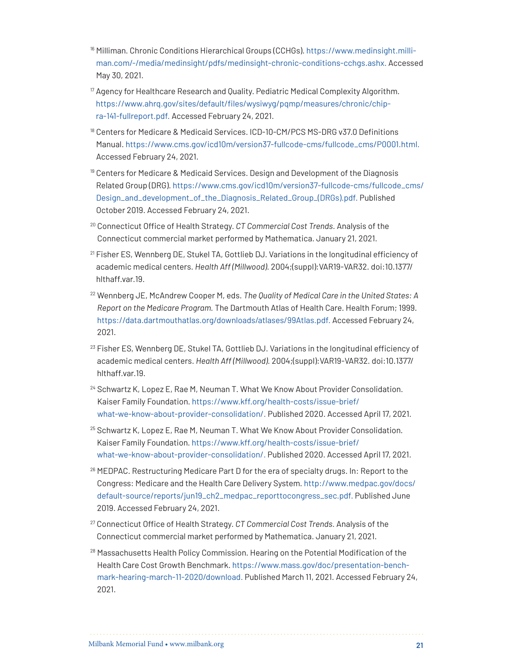- <span id="page-20-0"></span><sup>16</sup> Milliman. Chronic Conditions Hierarchical Groups (CCHGs). [https://www.medinsight.milli](https://www.medinsight.milliman.com/-/media/medinsight/pdfs/medinsight-chronic-conditions-cchgs.ashx)[man.com/-/media/medinsight/pdfs/medinsight-chronic-conditions-cchgs.ashx.](https://www.medinsight.milliman.com/-/media/medinsight/pdfs/medinsight-chronic-conditions-cchgs.ashx) Accessed May 30, 2021.
- <span id="page-20-1"></span> $17$  Agency for Healthcare Research and Quality. Pediatric Medical Complexity Algorithm. [https://www.ahrq.gov/sites/default/files/wysiwyg/pqmp/measures/chronic/chip](https://www.ahrq.gov/sites/default/files/wysiwyg/pqmp/measures/chronic/chipra-141-fullreport.pdf)[ra-141-fullreport.pdf](https://www.ahrq.gov/sites/default/files/wysiwyg/pqmp/measures/chronic/chipra-141-fullreport.pdf). Accessed February 24, 2021.
- <span id="page-20-2"></span><sup>18</sup> Centers for Medicare & Medicaid Services. ICD-10-CM/PCS MS-DRG v37.0 Definitions Manual. [https://www.cms.gov/icd10m/version37-fullcode-cms/fullcode\\_cms/P0001.html](https://www.cms.gov/icd10m/version37-fullcode-cms/fullcode_cms/P0001.html). Accessed February 24, 2021.
- <span id="page-20-3"></span><sup>19</sup> Centers for Medicare & Medicaid Services. Design and Development of the Diagnosis Related Group (DRG). [https://www.cms.gov/icd10m/version37-fullcode-cms/fullcode\\_cms/](https://www.cms.gov/icd10m/version37-fullcode-cms/fullcode_cms/Design_and_development_of_the_Diagnosis_Related_Group_(DRGs).pdf) [Design\\_and\\_development\\_of\\_the\\_Diagnosis\\_Related\\_Group\\_\(DRGs\).pdf](https://www.cms.gov/icd10m/version37-fullcode-cms/fullcode_cms/Design_and_development_of_the_Diagnosis_Related_Group_(DRGs).pdf). Published October 2019. Accessed February 24, 2021.
- <span id="page-20-4"></span><sup>20</sup> Connecticut Office of Health Strategy. *CT Commercial Cost Trends.* Analysis of the Connecticut commercial market performed by Mathematica. January 21, 2021.
- <span id="page-20-5"></span><sup>21</sup> Fisher ES, Wennberg DE, Stukel TA, Gottlieb DJ. Variations in the longitudinal efficiency of academic medical centers. *Health Aff (Millwood)*. 2004;(suppl):VAR19-VAR32. doi:10.1377/ hlthaff.var.19.
- <span id="page-20-6"></span><sup>22</sup> Wennberg JE, McAndrew Cooper M, eds. *The Quality of Medical Care in the United States: A Report on the Medicare Program.* The Dartmouth Atlas of Health Care. Health Forum; 1999. [https://data.dartmouthatlas.org/downloads/atlases/99Atlas.pdf.](https://data.dartmouthatlas.org/downloads/atlases/99Atlas.pdf) Accessed February 24, 2021.
- <span id="page-20-7"></span> $^{23}$  Fisher ES, Wennberg DE, Stukel TA, Gottlieb DJ. Variations in the longitudinal efficiency of academic medical centers. *Health Aff (Millwood).* 2004;(suppl):VAR19-VAR32. doi:10.1377/ hlthaff.var.19.
- <span id="page-20-8"></span><sup>24</sup> Schwartz K, Lopez E, Rae M, Neuman T. What We Know About Provider Consolidation. Kaiser Family Foundation. [https://www.kff.org/health-costs/issue-brief/](https://www.kff.org/health-costs/issue-brief/what-we-know-about-provider-consolidation/) [what-we-know-about-provider-consolidation/](https://www.kff.org/health-costs/issue-brief/what-we-know-about-provider-consolidation/). Published 2020. Accessed April 17, 2021.
- <span id="page-20-9"></span><sup>25</sup> Schwartz K, Lopez E, Rae M, Neuman T. What We Know About Provider Consolidation. Kaiser Family Foundation. [https://www.kff.org/health-costs/issue-brief/](https://www.kff.org/health-costs/issue-brief/what-we-know-about-provider-consolidation/) [what-we-know-about-provider-consolidation/](https://www.kff.org/health-costs/issue-brief/what-we-know-about-provider-consolidation/). Published 2020. Accessed April 17, 2021.
- <span id="page-20-10"></span> $26$  MEDPAC. Restructuring Medicare Part D for the era of specialty drugs. In: Report to the Congress: Medicare and the Health Care Delivery System. [http://www.medpac.gov/docs/](http://www.medpac.gov/docs/default-source/reports/jun19_ch2_medpac_reporttocongress_sec.pdf) [default-source/reports/jun19\\_ch2\\_medpac\\_reporttocongress\\_sec.pdf.](http://www.medpac.gov/docs/default-source/reports/jun19_ch2_medpac_reporttocongress_sec.pdf) Published June 2019. Accessed February 24, 2021.
- <span id="page-20-11"></span><sup>27</sup> Connecticut Office of Health Strategy. *CT Commercial Cost Trends.* Analysis of the Connecticut commercial market performed by Mathematica. January 21, 2021.
- <span id="page-20-12"></span> $28$  Massachusetts Health Policy Commission. Hearing on the Potential Modification of the Health Care Cost Growth Benchmark. [https://www.mass.gov/doc/presentation-bench](https://www.mass.gov/doc/presentation-benchmark-hearing-march-11-2020/download)[mark-hearing-march-11-2020/download.](https://www.mass.gov/doc/presentation-benchmark-hearing-march-11-2020/download) Published March 11, 2021. Accessed February 24, 2021.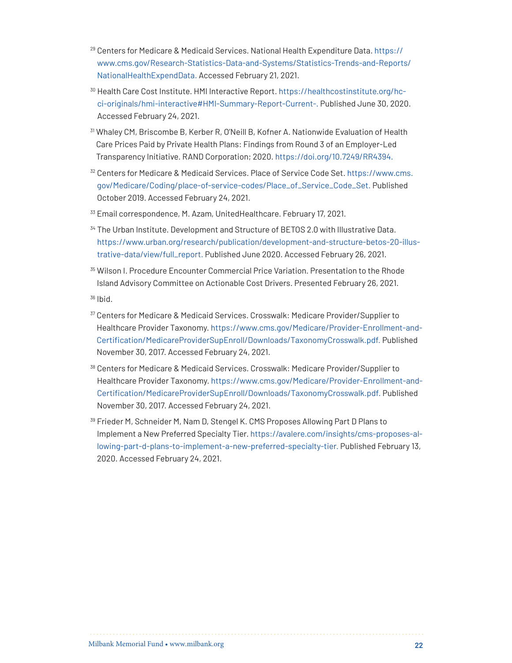- <span id="page-21-0"></span><sup>29</sup> Centers for Medicare & Medicaid Services. National Health Expenditure Data. [https://](https://www.cms.gov/Research-Statistics-Data-and-Systems/Statistics-Trends-and-Reports/NationalHealthExpendData) [www.cms.gov/Research-Statistics-Data-and-Systems/Statistics-Trends-and-Reports/](https://www.cms.gov/Research-Statistics-Data-and-Systems/Statistics-Trends-and-Reports/NationalHealthExpendData) [NationalHealthExpendData](https://www.cms.gov/Research-Statistics-Data-and-Systems/Statistics-Trends-and-Reports/NationalHealthExpendData). Accessed February 21, 2021.
- <span id="page-21-1"></span><sup>30</sup> Health Care Cost Institute. HMI Interactive Report. [https://healthcostinstitute.org/hc](https://healthcostinstitute.org/hcci-originals/hmi-interactive#HMI-Summary-Report-Current-Spending)[ci-originals/hmi-interactive#HMI-Summary-Report-Current-](https://healthcostinstitute.org/hcci-originals/hmi-interactive#HMI-Summary-Report-Current-Spending). Published June 30, 2020. Accessed February 24, 2021.
- <span id="page-21-2"></span><sup>31</sup> Whaley CM, Briscombe B, Kerber R, O'Neill B, Kofner A. Nationwide Evaluation of Health Care Prices Paid by Private Health Plans: Findings from Round 3 of an Employer-Led Transparency Initiative. RAND Corporation; 2020. [https://doi.org/10.7249/RR4394.](https://doi.org/10.7249/RR4394)
- <span id="page-21-3"></span><sup>32</sup> Centers for Medicare & Medicaid Services. Place of Service Code Set. [https://www.cms.](https://www.cms.gov/Medicare/Coding/place-of-service-codes/Place_of_Service_Code_Set) [gov/Medicare/Coding/place-of-service-codes/Place\\_of\\_Service\\_Code\\_Set.](https://www.cms.gov/Medicare/Coding/place-of-service-codes/Place_of_Service_Code_Set) Published October 2019. Accessed February 24, 2021.
- <span id="page-21-4"></span><sup>33</sup> Email correspondence, M. Azam, UnitedHealthcare. February 17, 2021.
- <span id="page-21-5"></span><sup>34</sup> The Urban Institute. Development and Structure of BETOS 2.0 with Illustrative Data. [https://www.urban.org/research/publication/development-and-structure-betos-20-illus](https://www.urban.org/research/publication/development-and-structure-betos-20-illustrative-data/view/full_report)[trative-data/view/full\\_report](https://www.urban.org/research/publication/development-and-structure-betos-20-illustrative-data/view/full_report). Published June 2020. Accessed February 26, 2021.
- <span id="page-21-6"></span><sup>35</sup> Wilson I. Procedure Encounter Commercial Price Variation. Presentation to the Rhode Island Advisory Committee on Actionable Cost Drivers. Presented February 26, 2021.

<span id="page-21-7"></span><sup>36</sup> Ibid.

- <span id="page-21-8"></span><sup>37</sup> Centers for Medicare & Medicaid Services. Crosswalk: Medicare Provider/Supplier to Healthcare Provider Taxonomy. [https://www.cms.gov/Medicare/Provider-Enrollment-and-](https://www.cms.gov/Medicare/Provider-Enrollment-and-Certification/MedicareProviderSupEnroll/Downloads/TaxonomyCrosswalk.pdf)[Certification/MedicareProviderSupEnroll/Downloads/TaxonomyCrosswalk.pdf](https://www.cms.gov/Medicare/Provider-Enrollment-and-Certification/MedicareProviderSupEnroll/Downloads/TaxonomyCrosswalk.pdf). Published November 30, 2017. Accessed February 24, 2021.
- <span id="page-21-9"></span><sup>38</sup> Centers for Medicare & Medicaid Services. Crosswalk: Medicare Provider/Supplier to Healthcare Provider Taxonomy. [https://www.cms.gov/Medicare/Provider-Enrollment-and-](https://www.cms.gov/Medicare/Provider-Enrollment-and-Certification/MedicareProviderSupEnroll/Downloads/TaxonomyCrosswalk.pdf)[Certification/MedicareProviderSupEnroll/Downloads/TaxonomyCrosswalk.pdf](https://www.cms.gov/Medicare/Provider-Enrollment-and-Certification/MedicareProviderSupEnroll/Downloads/TaxonomyCrosswalk.pdf). Published November 30, 2017. Accessed February 24, 2021.
- <span id="page-21-10"></span><sup>39</sup> Frieder M, Schneider M, Nam D, Stengel K. CMS Proposes Allowing Part D Plans to Implement a New Preferred Specialty Tier. [https://avalere.com/insights/cms-proposes-al](https://avalere.com/insights/cms-proposes-allowing-part-d-plans-to-implement-a-new-preferred-specialty-tier)[lowing-part-d-plans-to-implement-a-new-preferred-specialty-tier](https://avalere.com/insights/cms-proposes-allowing-part-d-plans-to-implement-a-new-preferred-specialty-tier). Published February 13, 2020. Accessed February 24, 2021.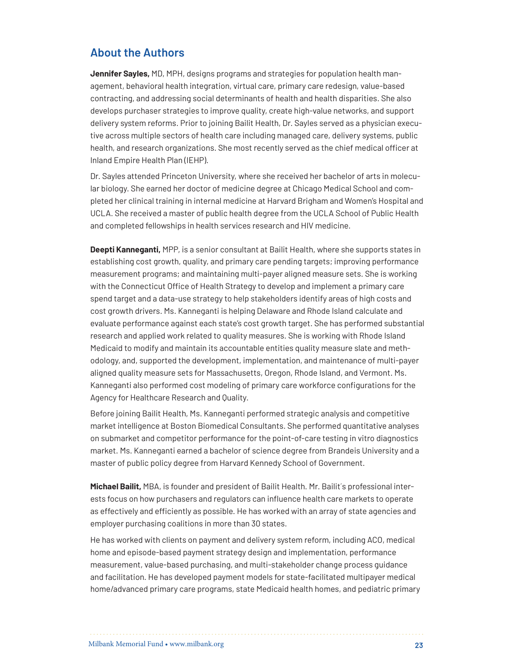## **About the Authors**

**Jennifer Sayles,** MD, MPH, designs programs and strategies for population health management, behavioral health integration, virtual care, primary care redesign, value-based contracting, and addressing social determinants of health and health disparities. She also develops purchaser strategies to improve quality, create high-value networks, and support delivery system reforms. Prior to joining Bailit Health, Dr. Sayles served as a physician executive across multiple sectors of health care including managed care, delivery systems, public health, and research organizations. She most recently served as the chief medical officer at Inland Empire Health Plan (IEHP).

Dr. Sayles attended Princeton University, where she received her bachelor of arts in molecular biology. She earned her doctor of medicine degree at Chicago Medical School and completed her clinical training in internal medicine at Harvard Brigham and Women's Hospital and UCLA. She received a master of public health degree from the UCLA School of Public Health and completed fellowships in health services research and HIV medicine.

**Deepti Kanneganti,** MPP, is a senior consultant at Bailit Health, where she supports states in establishing cost growth, quality, and primary care pending targets; improving performance measurement programs; and maintaining multi-payer aligned measure sets. She is working with the Connecticut Office of Health Strategy to develop and implement a primary care spend target and a data-use strategy to help stakeholders identify areas of high costs and cost growth drivers. Ms. Kanneganti is helping Delaware and Rhode Island calculate and evaluate performance against each state's cost growth target. She has performed substantial research and applied work related to quality measures. She is working with Rhode Island Medicaid to modify and maintain its accountable entities quality measure slate and methodology, and, supported the development, implementation, and maintenance of multi-payer aligned quality measure sets for Massachusetts, Oregon, Rhode Island, and Vermont. Ms. Kanneganti also performed cost modeling of primary care workforce configurations for the Agency for Healthcare Research and Quality.

Before joining Bailit Health, Ms. Kanneganti performed strategic analysis and competitive market intelligence at Boston Biomedical Consultants. She performed quantitative analyses on submarket and competitor performance for the point-of-care testing in vitro diagnostics market. Ms. Kanneganti earned a bachelor of science degree from Brandeis University and a master of public policy degree from Harvard Kennedy School of Government.

**Michael Bailit,** MBA, is founder and president of Bailit Health. Mr. Bailit´s professional interests focus on how purchasers and regulators can influence health care markets to operate as effectively and efficiently as possible. He has worked with an array of state agencies and employer purchasing coalitions in more than 30 states.

He has worked with clients on payment and delivery system reform, including ACO, medical home and episode-based payment strategy design and implementation, performance measurement, value-based purchasing, and multi-stakeholder change process guidance and facilitation. He has developed payment models for state-facilitated multipayer medical home/advanced primary care programs, state Medicaid health homes, and pediatric primary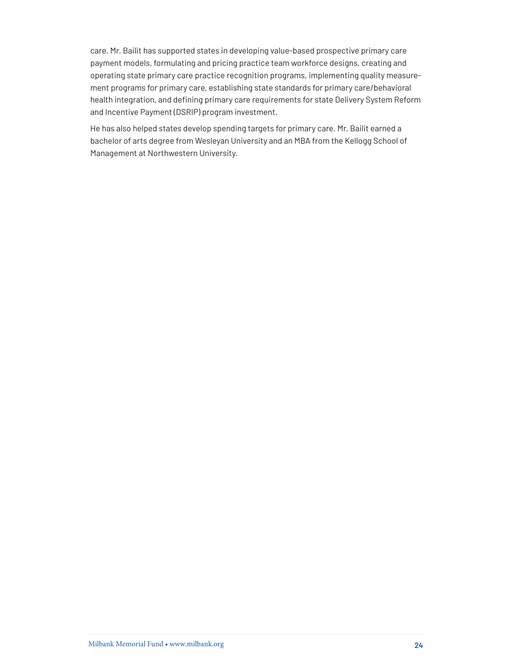care. Mr. Bailit has supported states in developing value-based prospective primary care payment models, formulating and pricing practice team workforce designs, creating and operating state primary care practice recognition programs, implementing quality measurement programs for primary care, establishing state standards for primary care/behavioral health integration, and defining primary care requirements for state Delivery System Reform and Incentive Payment (DSRIP) program investment.

He has also helped states develop spending targets for primary care. Mr. Bailit earned a bachelor of arts degree from Wesleyan University and an MBA from the Kellogg School of Management at Northwestern University.